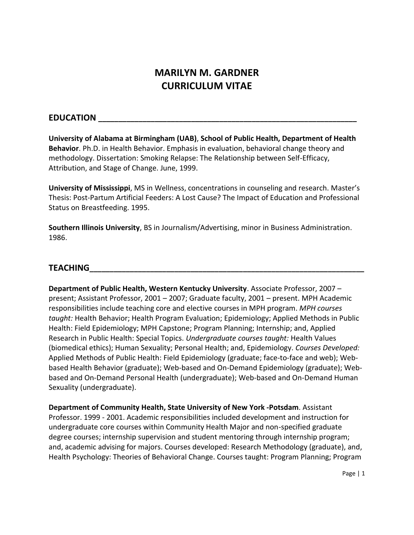# **MARILYN M. GARDNER CURRICULUM VITAE**

## **EDUCATION \_\_\_\_\_\_\_\_\_\_\_\_\_\_\_\_\_\_\_\_\_\_\_\_\_\_\_\_\_\_\_\_\_\_\_\_\_\_\_\_\_\_\_\_\_\_\_\_\_\_\_\_\_\_\_\_\_\_\_\_\_\_\_\_**

**University of Alabama at Birmingham (UAB)**, **School of Public Health, Department of Health Behavior**. Ph.D. in Health Behavior. Emphasis in evaluation, behavioral change theory and methodology. Dissertation: Smoking Relapse: The Relationship between Self-Efficacy, Attribution, and Stage of Change. June, 1999.

**University of Mississippi**, MS in Wellness, concentrations in counseling and research. Master's Thesis: Post-Partum Artificial Feeders: A Lost Cause? The Impact of Education and Professional Status on Breastfeeding. 1995.

**Southern Illinois University**, BS in Journalism/Advertising, minor in Business Administration. 1986.

# **TEACHING\_\_\_\_\_\_\_\_\_\_\_\_\_\_\_\_\_\_\_\_\_\_\_\_\_\_\_\_\_\_\_\_\_\_\_\_\_\_\_\_\_\_\_\_\_\_\_\_\_\_\_\_\_\_\_\_\_\_\_\_\_\_\_\_\_\_\_\_**

**Department of Public Health, Western Kentucky University**. Associate Professor, 2007 – present; Assistant Professor, 2001 – 2007; Graduate faculty, 2001 – present. MPH Academic responsibilities include teaching core and elective courses in MPH program. *MPH courses taught:* Health Behavior; Health Program Evaluation; Epidemiology; Applied Methods in Public Health: Field Epidemiology; MPH Capstone; Program Planning; Internship; and, Applied Research in Public Health: Special Topics. *Undergraduate courses taught:* Health Values (biomedical ethics); Human Sexuality; Personal Health; and, Epidemiology. *Courses Developed:*  Applied Methods of Public Health: Field Epidemiology (graduate; face-to-face and web); Webbased Health Behavior (graduate); Web-based and On-Demand Epidemiology (graduate); Webbased and On-Demand Personal Health (undergraduate); Web-based and On-Demand Human Sexuality (undergraduate).

**Department of Community Health, State University of New York -Potsdam**. Assistant Professor. 1999 - 2001. Academic responsibilities included development and instruction for undergraduate core courses within Community Health Major and non-specified graduate degree courses; internship supervision and student mentoring through internship program; and, academic advising for majors. Courses developed: Research Methodology (graduate), and, Health Psychology: Theories of Behavioral Change. Courses taught: Program Planning; Program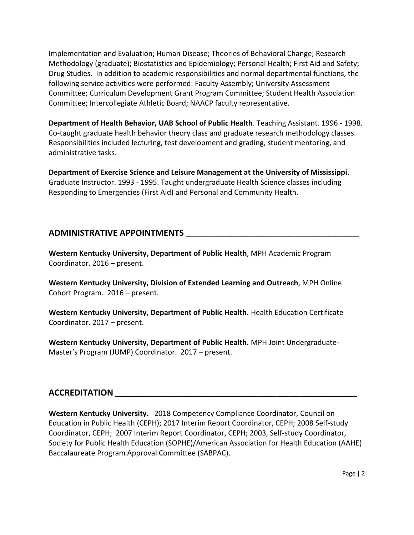Implementation and Evaluation; Human Disease; Theories of Behavioral Change; Research Methodology (graduate); Biostatistics and Epidemiology; Personal Health; First Aid and Safety; Drug Studies. In addition to academic responsibilities and normal departmental functions, the following service activities were performed: Faculty Assembly; University Assessment Committee; Curriculum Development Grant Program Committee; Student Health Association Committee; Intercollegiate Athletic Board; NAACP faculty representative.

**Department of Health Behavior, UAB School of Public Health**. Teaching Assistant. 1996 - 1998. Co-taught graduate health behavior theory class and graduate research methodology classes. Responsibilities included lecturing, test development and grading, student mentoring, and administrative tasks.

**Department of Exercise Science and Leisure Management at the University of Mississippi**. Graduate Instructor. 1993 - 1995. Taught undergraduate Health Science classes including Responding to Emergencies (First Aid) and Personal and Community Health.

# **ADMINISTRATIVE APPOINTMENTS \_\_\_\_\_\_\_\_\_\_\_\_\_\_\_\_\_\_\_\_\_\_\_\_\_\_\_\_\_\_\_\_\_\_\_\_\_\_\_\_\_\_\_**

**Western Kentucky University, Department of Public Health**, MPH Academic Program Coordinator. 2016 – present.

**Western Kentucky University, Division of Extended Learning and Outreach**, MPH Online Cohort Program. 2016 – present.

**Western Kentucky University, Department of Public Health.** Health Education Certificate Coordinator. 2017 – present.

**Western Kentucky University, Department of Public Health.** MPH Joint Undergraduate-Master's Program (JUMP) Coordinator. 2017 – present.

# **ACCREDITATION \_\_\_\_\_\_\_\_\_\_\_\_\_\_\_\_\_\_\_\_\_\_\_\_\_\_\_\_\_\_\_\_\_\_\_\_\_\_\_\_\_\_\_\_\_\_\_\_\_\_\_\_\_\_\_\_\_\_\_\_**

**Western Kentucky University.** 2018 Competency Compliance Coordinator, Council on Education in Public Health (CEPH); 2017 Interim Report Coordinator, CEPH; 2008 Self-study Coordinator, CEPH; 2007 Interim Report Coordinator, CEPH; 2003, Self-study Coordinator, Society for Public Health Education (SOPHE)/American Association for Health Education (AAHE) Baccalaureate Program Approval Committee (SABPAC).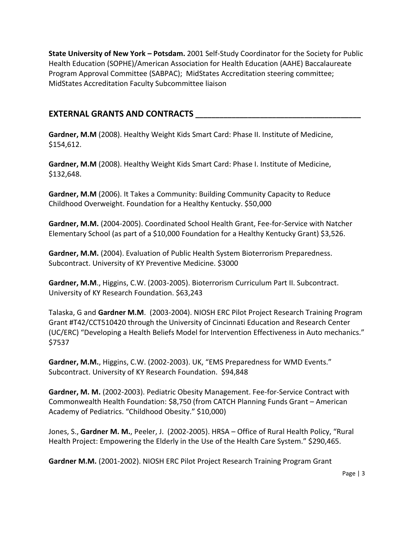**State University of New York – Potsdam.** 2001 Self-Study Coordinator for the Society for Public Health Education (SOPHE)/American Association for Health Education (AAHE) Baccalaureate Program Approval Committee (SABPAC); MidStates Accreditation steering committee; MidStates Accreditation Faculty Subcommittee liaison

## **EXTERNAL GRANTS AND CONTRACTS \_\_\_\_\_\_\_\_\_\_\_\_\_\_\_\_\_\_\_\_\_\_\_\_\_\_\_\_\_\_\_\_\_\_\_\_\_\_\_\_\_**

**Gardner, M.M** (2008). Healthy Weight Kids Smart Card: Phase II. Institute of Medicine, \$154,612.

**Gardner, M.M** (2008). Healthy Weight Kids Smart Card: Phase I. Institute of Medicine, \$132,648.

**Gardner, M.M** (2006). It Takes a Community: Building Community Capacity to Reduce Childhood Overweight. Foundation for a Healthy Kentucky. \$50,000

**Gardner, M.M.** (2004-2005). Coordinated School Health Grant, Fee-for-Service with Natcher Elementary School (as part of a \$10,000 Foundation for a Healthy Kentucky Grant) \$3,526.

**Gardner, M.M.** (2004). Evaluation of Public Health System Bioterrorism Preparedness. Subcontract. University of KY Preventive Medicine. \$3000

**Gardner, M.M**., Higgins, C.W. (2003-2005). Bioterrorism Curriculum Part II. Subcontract. University of KY Research Foundation. \$63,243

Talaska, G and **Gardner M.M**. (2003-2004). NIOSH ERC Pilot Project Research Training Program Grant #T42/CCT510420 through the University of Cincinnati Education and Research Center (UC/ERC) "Developing a Health Beliefs Model for Intervention Effectiveness in Auto mechanics." \$7537

**Gardner, M.M.**, Higgins, C.W. (2002-2003). UK, "EMS Preparedness for WMD Events." Subcontract. University of KY Research Foundation. \$94,848

**Gardner, M. M.** (2002-2003). Pediatric Obesity Management. Fee-for-Service Contract with Commonwealth Health Foundation: \$8,750 (from CATCH Planning Funds Grant – American Academy of Pediatrics. "Childhood Obesity." \$10,000)

Jones, S., **Gardner M. M.**, Peeler, J. (2002-2005). HRSA – Office of Rural Health Policy, "Rural Health Project: Empowering the Elderly in the Use of the Health Care System." \$290,465.

**Gardner M.M.** (2001-2002). NIOSH ERC Pilot Project Research Training Program Grant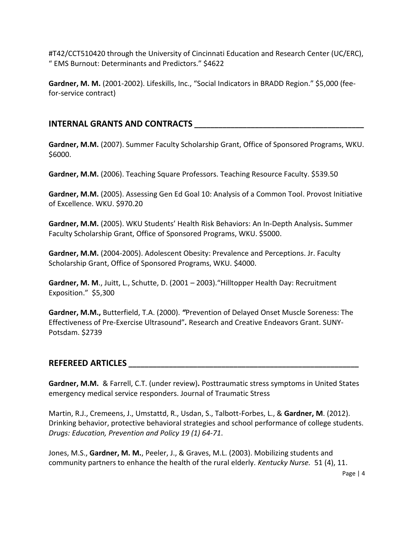#T42/CCT510420 through the University of Cincinnati Education and Research Center (UC/ERC), " EMS Burnout: Determinants and Predictors." \$4622

**Gardner, M. M.** (2001-2002). Lifeskills, Inc., "Social Indicators in BRADD Region." \$5,000 (feefor-service contract)

# **INTERNAL GRANTS AND CONTRACTS \_\_\_\_\_\_\_\_\_\_\_\_\_\_\_\_\_\_\_\_\_\_\_\_\_\_\_\_\_\_\_\_\_\_\_\_\_\_\_\_\_\_**

**Gardner, M.M.** (2007). Summer Faculty Scholarship Grant, Office of Sponsored Programs, WKU. \$6000.

Gardner, M.M. (2006). Teaching Square Professors. Teaching Resource Faculty. \$539.50

**Gardner, M.M.** (2005). Assessing Gen Ed Goal 10: Analysis of a Common Tool. Provost Initiative of Excellence. WKU. \$970.20

**Gardner, M.M.** (2005). WKU Students' Health Risk Behaviors: An In-Depth Analysis**.** Summer Faculty Scholarship Grant, Office of Sponsored Programs, WKU. \$5000.

**Gardner, M.M.** (2004-2005). Adolescent Obesity: Prevalence and Perceptions. Jr. Faculty Scholarship Grant, Office of Sponsored Programs, WKU. \$4000.

**Gardner, M. M**., Juitt, L., Schutte, D. (2001 – 2003)."Hilltopper Health Day: Recruitment Exposition." \$5,300

**Gardner, M.M.,** Butterfield, T.A. (2000). *"*Prevention of Delayed Onset Muscle Soreness: The Effectiveness of Pre-Exercise Ultrasound"*.* Research and Creative Endeavors Grant. SUNY-Potsdam. \$2739

# **REFEREED ARTICLES \_\_\_\_\_\_\_\_\_\_\_\_\_\_\_\_\_\_\_\_\_\_\_\_\_\_\_\_\_\_\_\_\_\_\_\_\_\_\_\_\_\_\_\_\_\_\_\_\_\_\_\_\_\_\_\_\_**

**Gardner, M.M.** & Farrell, C.T. (under review)**.** Posttraumatic stress symptoms in United States emergency medical service responders. Journal of Traumatic Stress

Martin, R.J., Cremeens, J., Umstattd, R., Usdan, S., Talbott-Forbes, L., & **Gardner, M**. (2012). Drinking behavior, protective behavioral strategies and school performance of college students. *Drugs: Education, Prevention and Policy 19 (1) 64-71*.

Jones, M.S., **Gardner, M. M.**, Peeler, J., & Graves, M.L. (2003). Mobilizing students and community partners to enhance the health of the rural elderly. *Kentucky Nurse.* 51 (4), 11.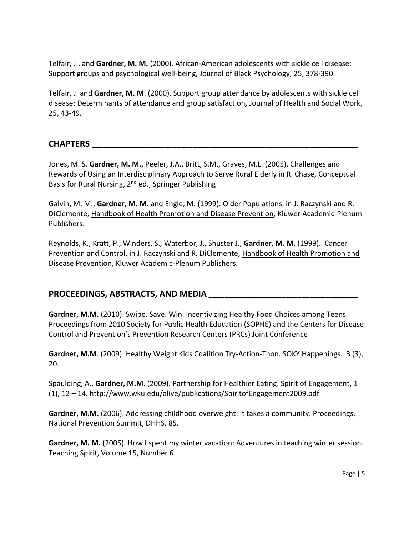Telfair, J., and **Gardner, M. M.** (2000). African-American adolescents with sickle cell disease: Support groups and psychological well-being, Journal of Black Psychology, 25, 378-390.

Telfair, J. and **Gardner, M. M**. (2000). Support group attendance by adolescents with sickle cell disease: Determinants of attendance and group satisfaction*,* Journal of Health and Social Work, 25, 43-49.

## **CHAPTERS \_\_\_\_\_\_\_\_\_\_\_\_\_\_\_\_\_\_\_\_\_\_\_\_\_\_\_\_\_\_\_\_\_\_\_\_\_\_\_\_\_\_\_\_\_\_\_\_\_\_\_\_\_\_\_\_\_\_\_\_\_\_\_\_\_\_**

Jones, M. S, **Gardner, M. M.**, Peeler, J.A., Britt, S.M., Graves, M.L. (2005). Challenges and Rewards of Using an Interdisciplinary Approach to Serve Rural Elderly in R. Chase, Conceptual Basis for Rural Nursing, 2<sup>nd</sup> ed., Springer Publishing

Galvin, M. M., **Gardner, M. M.** and Engle, M. (1999). Older Populations, in J. Raczynski and R. DiClemente, Handbook of Health Promotion and Disease Prevention, Kluwer Academic-Plenum Publishers.

Reynolds, K., Kratt, P., Winders, S., Waterbor, J., Shuster J., **Gardner, M. M**. (1999). Cancer Prevention and Control, in J. Raczynski and R. DiClemente, Handbook of Health Promotion and Disease Prevention, Kluwer Academic-Plenum Publishers.

# **PROCEEDINGS, ABSTRACTS, AND MEDIA \_\_\_\_\_\_\_\_\_\_\_\_\_\_\_\_\_\_\_\_\_\_\_\_\_\_\_\_\_\_\_\_\_\_\_\_\_**

**Gardner, M.M.** (2010). Swipe. Save. Win. Incentivizing Healthy Food Choices among Teens. Proceedings from 2010 Society for Public Health Education (SOPHE) and the Centers for Disease Control and Prevention's Prevention Research Centers (PRCs) Joint Conference

**Gardner, M.M**. (2009). Healthy Weight Kids Coalition Try-Action-Thon. SOKY Happenings. 3 (3), 20.

Spaulding, A., **Gardner, M.M**. (2009). Partnership for Healthier Eating. Spirit of Engagement, 1 (1), 12 – 14. http://www.wku.edu/alive/publications/SpiritofEngagement2009.pdf

**Gardner, M.M.** (2006). Addressing childhood overweight: It takes a community. Proceedings, National Prevention Summit, DHHS, 85.

**Gardner, M. M.** (2005). How I spent my winter vacation: Adventures in teaching winter session. Teaching Spirit, Volume 15, Number 6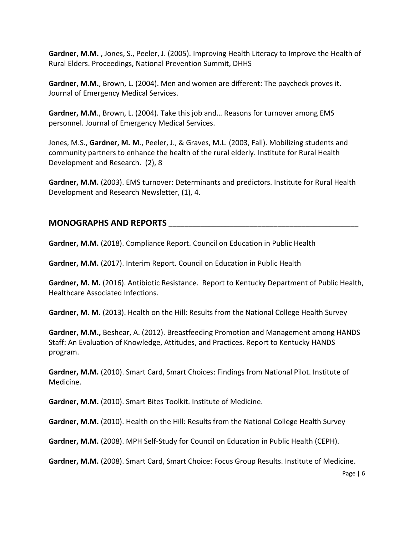**Gardner, M.M.** , Jones, S., Peeler, J. (2005). Improving Health Literacy to Improve the Health of Rural Elders. Proceedings, National Prevention Summit, DHHS

**Gardner, M.M.**, Brown, L. (2004). Men and women are different: The paycheck proves it. Journal of Emergency Medical Services.

**Gardner, M.M**., Brown, L. (2004). Take this job and… Reasons for turnover among EMS personnel. Journal of Emergency Medical Services.

Jones, M.S., **Gardner, M. M**., Peeler, J., & Graves, M.L. (2003, Fall). Mobilizing students and community partners to enhance the health of the rural elderly. Institute for Rural Health Development and Research.(2), 8

**Gardner, M.M.** (2003). EMS turnover: Determinants and predictors. Institute for Rural Health Development and Research Newsletter, (1), 4.

## **MONOGRAPHS AND REPORTS \_\_\_\_\_\_\_\_\_\_\_\_\_\_\_\_\_\_\_\_\_\_\_\_\_\_\_\_\_\_\_\_\_\_\_\_\_\_\_\_\_\_\_\_\_\_\_**

**Gardner, M.M.** (2018). Compliance Report. Council on Education in Public Health

**Gardner, M.M.** (2017). Interim Report. Council on Education in Public Health

**Gardner, M. M.** (2016). Antibiotic Resistance. Report to Kentucky Department of Public Health, Healthcare Associated Infections.

**Gardner, M. M.** (2013). Health on the Hill: Results from the National College Health Survey

**Gardner, M.M.,** Beshear, A. (2012). Breastfeeding Promotion and Management among HANDS Staff: An Evaluation of Knowledge, Attitudes, and Practices. Report to Kentucky HANDS program.

**Gardner, M.M.** (2010). Smart Card, Smart Choices: Findings from National Pilot. Institute of Medicine.

**Gardner, M.M.** (2010). Smart Bites Toolkit. Institute of Medicine.

Gardner, M.M. (2010). Health on the Hill: Results from the National College Health Survey

**Gardner, M.M.** (2008). MPH Self-Study for Council on Education in Public Health (CEPH).

**Gardner, M.M.** (2008). Smart Card, Smart Choice: Focus Group Results. Institute of Medicine.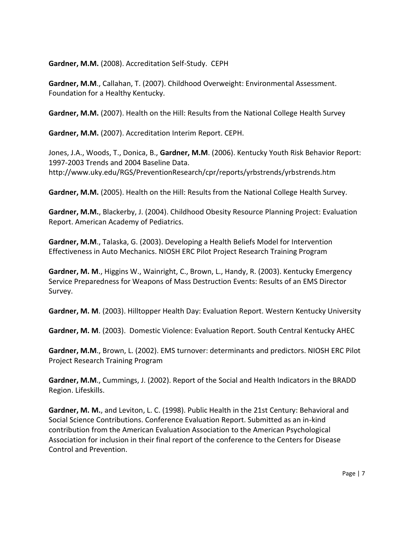**Gardner, M.M.** (2008). Accreditation Self-Study. CEPH

**Gardner, M.M**., Callahan, T. (2007). Childhood Overweight: Environmental Assessment. Foundation for a Healthy Kentucky.

Gardner, M.M. (2007). Health on the Hill: Results from the National College Health Survey

**Gardner, M.M.** (2007). Accreditation Interim Report. CEPH.

Jones, J.A., Woods, T., Donica, B., **Gardner, M.M**. (2006). Kentucky Youth Risk Behavior Report: 1997-2003 Trends and 2004 Baseline Data. http://www.uky.edu/RGS/PreventionResearch/cpr/reports/yrbstrends/yrbstrends.htm

**Gardner, M.M.** (2005). Health on the Hill: Results from the National College Health Survey.

**Gardner, M.M.**, Blackerby, J. (2004). Childhood Obesity Resource Planning Project: Evaluation Report. American Academy of Pediatrics.

**Gardner, M.M**., Talaska, G. (2003). Developing a Health Beliefs Model for Intervention Effectiveness in Auto Mechanics. NIOSH ERC Pilot Project Research Training Program

**Gardner, M. M**., Higgins W., Wainright, C., Brown, L., Handy, R. (2003). Kentucky Emergency Service Preparedness for Weapons of Mass Destruction Events: Results of an EMS Director Survey.

**Gardner, M. M**. (2003). Hilltopper Health Day: Evaluation Report. Western Kentucky University

**Gardner, M. M**. (2003). Domestic Violence: Evaluation Report. South Central Kentucky AHEC

**Gardner, M.M**., Brown, L. (2002). EMS turnover: determinants and predictors. NIOSH ERC Pilot Project Research Training Program

**Gardner, M.M**., Cummings, J. (2002). Report of the Social and Health Indicators in the BRADD Region. Lifeskills.

**Gardner, M. M.**, and Leviton, L. C. (1998). Public Health in the 21st Century: Behavioral and Social Science Contributions. Conference Evaluation Report. Submitted as an in-kind contribution from the American Evaluation Association to the American Psychological Association for inclusion in their final report of the conference to the Centers for Disease Control and Prevention.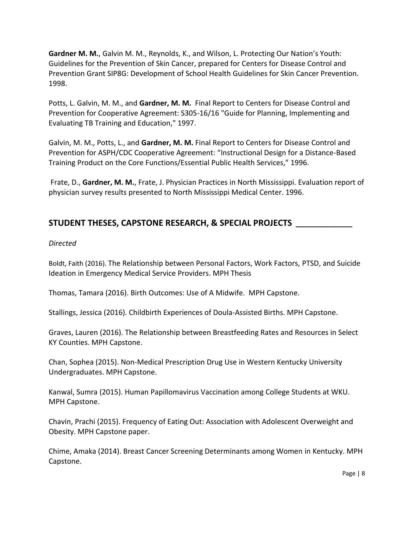**Gardner M. M.**, Galvin M. M., Reynolds, K., and Wilson, L. Protecting Our Nation's Youth: Guidelines for the Prevention of Skin Cancer, prepared for Centers for Disease Control and Prevention Grant SIP8G: Development of School Health Guidelines for Skin Cancer Prevention. 1998.

Potts, L. Galvin, M. M., and **Gardner, M. M.** Final Report to Centers for Disease Control and Prevention for Cooperative Agreement: S305-16/16 "Guide for Planning, Implementing and Evaluating TB Training and Education," 1997.

Galvin, M. M., Potts, L., and **Gardner, M. M.** Final Report to Centers for Disease Control and Prevention for ASPH/CDC Cooperative Agreement: "Instructional Design for a Distance-Based Training Product on the Core Functions/Essential Public Health Services," 1996.

Frate, D., **Gardner, M. M.**, Frate, J. Physician Practices in North Mississippi. Evaluation report of physician survey results presented to North Mississippi Medical Center. 1996.

# **STUDENT THESES, CAPSTONE RESEARCH, & SPECIAL PROJECTS \_\_\_\_\_\_\_\_\_\_\_\_\_\_**

#### *Directed*

Boldt, Faith (2016). The Relationship between Personal Factors, Work Factors, PTSD, and Suicide Ideation in Emergency Medical Service Providers. MPH Thesis

Thomas, Tamara (2016). Birth Outcomes: Use of A Midwife. MPH Capstone.

Stallings, Jessica (2016). Childbirth Experiences of Doula-Assisted Births. MPH Capstone.

Graves, Lauren (2016). The Relationship between Breastfeeding Rates and Resources in Select KY Counties. MPH Capstone.

Chan, Sophea (2015). Non-Medical Prescription Drug Use in Western Kentucky University Undergraduates. MPH Capstone.

Kanwal, Sumra (2015). Human Papillomavirus Vaccination among College Students at WKU. MPH Capstone.

Chavin, Prachi (2015). Frequency of Eating Out: Association with Adolescent Overweight and Obesity. MPH Capstone paper.

Chime, Amaka (2014). Breast Cancer Screening Determinants among Women in Kentucky. MPH Capstone.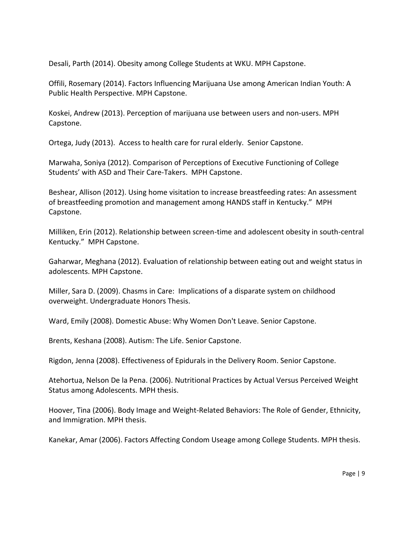Desali, Parth (2014). Obesity among College Students at WKU. MPH Capstone.

Offili, Rosemary (2014). Factors Influencing Marijuana Use among American Indian Youth: A Public Health Perspective. MPH Capstone.

Koskei, Andrew (2013). Perception of marijuana use between users and non-users. MPH Capstone.

Ortega, Judy (2013). Access to health care for rural elderly. Senior Capstone.

Marwaha, Soniya (2012). Comparison of Perceptions of Executive Functioning of College Students' with ASD and Their Care-Takers. MPH Capstone.

Beshear, Allison (2012). Using home visitation to increase breastfeeding rates: An assessment of breastfeeding promotion and management among HANDS staff in Kentucky." MPH Capstone.

Milliken, Erin (2012). Relationship between screen-time and adolescent obesity in south-central Kentucky." MPH Capstone.

Gaharwar, Meghana (2012). Evaluation of relationship between eating out and weight status in adolescents. MPH Capstone.

Miller, Sara D. (2009). Chasms in Care: Implications of a disparate system on childhood overweight. Undergraduate Honors Thesis.

Ward, Emily (2008). Domestic Abuse: Why Women Don't Leave. Senior Capstone.

Brents, Keshana (2008). Autism: The Life. Senior Capstone.

Rigdon, Jenna (2008). Effectiveness of Epidurals in the Delivery Room. Senior Capstone.

Atehortua, Nelson De la Pena. (2006). Nutritional Practices by Actual Versus Perceived Weight Status among Adolescents. MPH thesis.

Hoover, Tina (2006). Body Image and Weight-Related Behaviors: The Role of Gender, Ethnicity, and Immigration. MPH thesis.

Kanekar, Amar (2006). Factors Affecting Condom Useage among College Students. MPH thesis.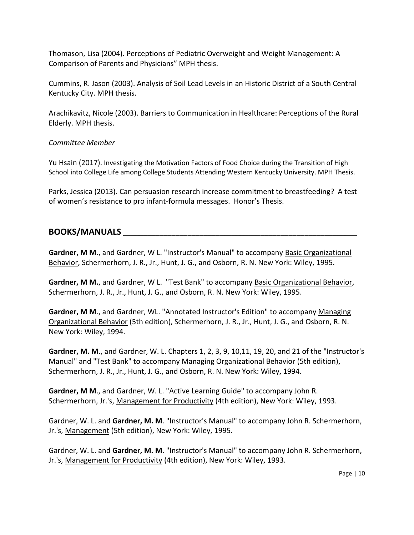Thomason, Lisa (2004). Perceptions of Pediatric Overweight and Weight Management: A Comparison of Parents and Physicians" MPH thesis.

Cummins, R. Jason (2003). Analysis of Soil Lead Levels in an Historic District of a South Central Kentucky City. MPH thesis.

Arachikavitz, Nicole (2003). Barriers to Communication in Healthcare: Perceptions of the Rural Elderly. MPH thesis.

## *Committee Member*

Yu Hsain (2017). Investigating the Motivation Factors of Food Choice during the Transition of High School into College Life among College Students Attending Western Kentucky University. MPH Thesis.

Parks, Jessica (2013). Can persuasion research increase commitment to breastfeeding? A test of women's resistance to pro infant-formula messages. Honor's Thesis.

# **BOOKS/MANUALS \_\_\_\_\_\_\_\_\_\_\_\_\_\_\_\_\_\_\_\_\_\_\_\_\_\_\_\_\_\_\_\_\_\_\_\_\_\_\_\_\_\_\_\_\_\_\_\_\_\_\_\_\_\_\_\_\_\_**

Gardner, M M., and Gardner, W L. "Instructor's Manual" to accompany Basic Organizational Behavior, Schermerhorn, J. R., Jr., Hunt, J. G., and Osborn, R. N. New York: Wiley, 1995.

Gardner, M M., and Gardner, W L. "Test Bank" to accompany Basic Organizational Behavior, Schermerhorn, J. R., Jr., Hunt, J. G., and Osborn, R. N. New York: Wiley, 1995.

**Gardner, M M**., and Gardner, WL. "Annotated Instructor's Edition" to accompany Managing Organizational Behavior (5th edition), Schermerhorn, J. R., Jr., Hunt, J. G., and Osborn, R. N. New York: Wiley, 1994.

**Gardner, M. M**., and Gardner, W. L. Chapters 1, 2, 3, 9, 10,11, 19, 20, and 21 of the "Instructor's Manual" and "Test Bank" to accompany Managing Organizational Behavior (5th edition), Schermerhorn, J. R., Jr., Hunt, J. G., and Osborn, R. N. New York: Wiley, 1994.

**Gardner, M M**., and Gardner, W. L. "Active Learning Guide" to accompany John R. Schermerhorn, Jr.'s, Management for Productivity (4th edition), New York: Wiley, 1993.

Gardner, W. L. and **Gardner, M. M**. "Instructor's Manual" to accompany John R. Schermerhorn, Jr.'s, Management (5th edition), New York: Wiley, 1995.

Gardner, W. L. and **Gardner, M. M**. "Instructor's Manual" to accompany John R. Schermerhorn, Jr.'s, Management for Productivity (4th edition), New York: Wiley, 1993.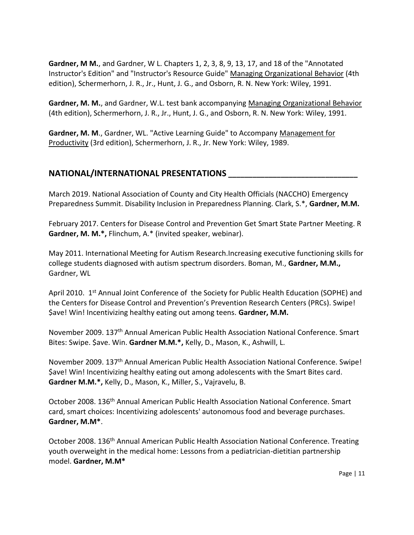**Gardner, M M.**, and Gardner, W L. Chapters 1, 2, 3, 8, 9, 13, 17, and 18 of the "Annotated Instructor's Edition" and "Instructor's Resource Guide" Managing Organizational Behavior (4th edition), Schermerhorn, J. R., Jr., Hunt, J. G., and Osborn, R. N. New York: Wiley, 1991.

**Gardner, M. M.**, and Gardner, W.L. test bank accompanying Managing Organizational Behavior (4th edition), Schermerhorn, J. R., Jr., Hunt, J. G., and Osborn, R. N. New York: Wiley, 1991.

**Gardner, M. M**., Gardner, WL. "Active Learning Guide" to Accompany Management for Productivity (3rd edition), Schermerhorn, J. R., Jr. New York: Wiley, 1989.

## **NATIONAL/INTERNATIONAL PRESENTATIONS \_\_\_\_\_\_\_\_\_\_\_\_\_\_\_\_\_\_\_\_\_\_\_\_\_\_\_\_\_\_\_\_**

March 2019. National Association of County and City Health Officials (NACCHO) Emergency Preparedness Summit. Disability Inclusion in Preparedness Planning. Clark, S.\*, **Gardner, M.M.**

February 2017. Centers for Disease Control and Prevention Get Smart State Partner Meeting. R **Gardner, M. M.\*,** Flinchum, A.\* (invited speaker, webinar).

May 2011. International Meeting for Autism Research.Increasing executive functioning skills for college students diagnosed with autism spectrum disorders. Boman, M., **Gardner, M.M.,** Gardner, WL

April 2010. 1<sup>st</sup> Annual Joint Conference of the Society for Public Health Education (SOPHE) and the Centers for Disease Control and Prevention's Prevention Research Centers (PRCs). Swipe! \$ave! Win! Incentivizing healthy eating out among teens. **Gardner, M.M.**

November 2009. 137th Annual American Public Health Association National Conference. Smart Bites: Swipe. \$ave. Win. **Gardner M.M.\*,** Kelly, D., Mason, K., Ashwill, L.

November 2009. 137th Annual American Public Health Association National Conference. Swipe! \$ave! Win! Incentivizing healthy eating out among adolescents with the Smart Bites card. **Gardner M.M.\*,** Kelly, D., Mason, K., Miller, S., Vajravelu, B.

October 2008. 136th Annual American Public Health Association National Conference. Smart card, smart choices: Incentivizing adolescents' autonomous food and beverage purchases. **Gardner, M.M\***.

October 2008. 136<sup>th</sup> Annual American Public Health Association National Conference. Treating youth overweight in the medical home: Lessons from a pediatrician-dietitian partnership model. **Gardner, M.M\***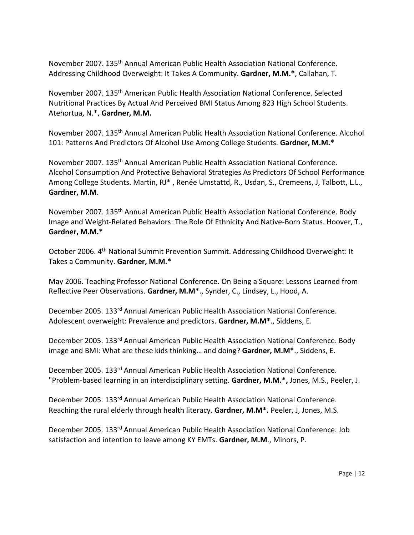November 2007. 135th Annual American Public Health Association National Conference. Addressing Childhood Overweight: It Takes A Community. **Gardner, M.M.\***, Callahan, T.

November 2007. 135th American Public Health Association National Conference. Selected Nutritional Practices By Actual And Perceived BMI Status Among 823 High School Students. Atehortua, N.\*, **Gardner, M.M.**

November 2007. 135th Annual American Public Health Association National Conference. Alcohol 101: Patterns And Predictors Of Alcohol Use Among College Students. **Gardner, M.M.\***

November 2007. 135th Annual American Public Health Association National Conference. Alcohol Consumption And Protective Behavioral Strategies As Predictors Of School Performance Among College Students. Martin, [RJ\\*](mailto:rjmartin78@gmail.com) , Renée Umstattd, R., Usdan, S., Cremeens, J, Talbott, L.L., **Gardner, M.M**.

November 2007. 135th Annual American Public Health Association National Conference. Body Image and Weight-Related Behaviors: The Role Of Ethnicity And Native-Born Status. Hoover, T., **Gardner, M.M.\***

October 2006. 4<sup>th</sup> National Summit Prevention Summit. Addressing Childhood Overweight: It Takes a Community. **Gardner, M.M.\***

May 2006. Teaching Professor National Conference. On Being a Square: Lessons Learned from Reflective Peer Observations. **Gardner, M.M\***., Synder, C., Lindsey, L., Hood, A.

December 2005. 133rd Annual American Public Health Association National Conference. Adolescent overweight: Prevalence and predictors. **Gardner, M.M\***., Siddens, E.

December 2005. 133rd Annual American Public Health Association National Conference. Body image and BMI: What are these kids thinking… and doing? **Gardner, M.M\***., Siddens, E.

December 2005. 133rd Annual American Public Health Association National Conference. "Problem-based learning in an interdisciplinary setting. **Gardner, M.M.\*,** Jones, M.S., Peeler, J.

December 2005. 133rd Annual American Public Health Association National Conference. Reaching the rural elderly through health literacy. **Gardner, M.M\*.** Peeler, J, Jones, M.S.

December 2005. 133rd Annual American Public Health Association National Conference. Job satisfaction and intention to leave among KY EMTs. **Gardner, M.M**., Minors, P.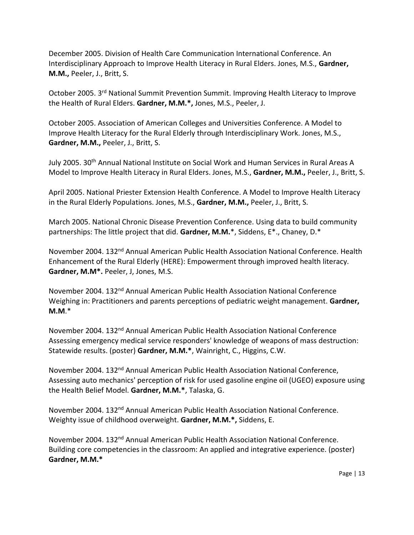December 2005. Division of Health Care Communication International Conference. An Interdisciplinary Approach to Improve Health Literacy in Rural Elders. Jones, M.S., **Gardner, M.M.,** Peeler, J., Britt, S.

October 2005. 3rd National Summit Prevention Summit. Improving Health Literacy to Improve the Health of Rural Elders. **Gardner, M.M.\*,** Jones, M.S., Peeler, J.

October 2005. Association of American Colleges and Universities Conference. A Model to Improve Health Literacy for the Rural Elderly through Interdisciplinary Work. Jones, M.S., **Gardner, M.M.,** Peeler, J., Britt, S.

July 2005. 30<sup>th</sup> Annual National Institute on Social Work and Human Services in Rural Areas A Model to Improve Health Literacy in Rural Elders. Jones, M.S., **Gardner, M.M.,** Peeler, J., Britt, S.

April 2005. National Priester Extension Health Conference. A Model to Improve Health Literacy in the Rural Elderly Populations. Jones, M.S., **Gardner, M.M.,** Peeler, J., Britt, S.

March 2005. National Chronic Disease Prevention Conference. Using data to build community partnerships: The little project that did. **Gardner, M.M.**\*, Siddens, E\*., Chaney, D.\*

November 2004. 132<sup>nd</sup> Annual American Public Health Association National Conference. Health Enhancement of the Rural Elderly (HERE): Empowerment through improved health literacy. **Gardner, M.M\*.** Peeler, J, Jones, M.S.

November 2004. 132nd Annual American Public Health Association National Conference Weighing in: Practitioners and parents perceptions of pediatric weight management. **Gardner, M.M**.\*

November 2004. 132nd Annual American Public Health Association National Conference Assessing emergency medical service responders' knowledge of weapons of mass destruction: Statewide results. (poster) **Gardner, M.M.\***, Wainright, C., Higgins, C.W.

November 2004. 132nd Annual American Public Health Association National Conference, Assessing auto mechanics' perception of risk for used gasoline engine oil (UGEO) exposure using the Health Belief Model. **Gardner, M.M.\***, Talaska, G.

November 2004. 132nd Annual American Public Health Association National Conference. Weighty issue of childhood overweight. **Gardner, M.M.\*,** Siddens, E.

November 2004. 132nd Annual American Public Health Association National Conference. Building core competencies in the classroom: An applied and integrative experience. (poster) **Gardner, M.M.\***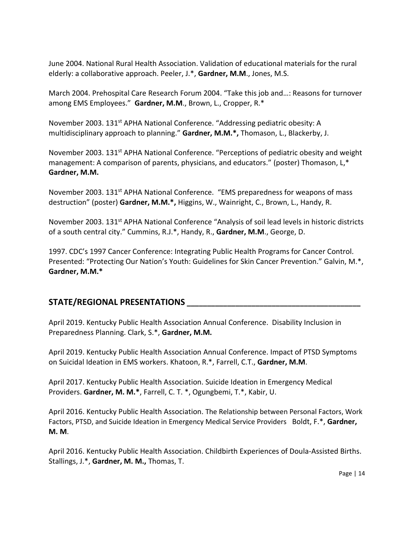June 2004. National Rural Health Association. Validation of educational materials for the rural elderly: a collaborative approach. Peeler, J.\*, **Gardner, M.M**., Jones, M.S.

March 2004. Prehospital Care Research Forum 2004. "Take this job and…: Reasons for turnover among EMS Employees." **Gardner, M.M**., Brown, L., Cropper, R.\*

November 2003. 131<sup>st</sup> APHA National Conference. "Addressing pediatric obesity: A multidisciplinary approach to planning." **Gardner, M.M.\*,** Thomason, L., Blackerby, J.

November 2003. 131<sup>st</sup> APHA National Conference. "Perceptions of pediatric obesity and weight management: A comparison of parents, physicians, and educators." (poster) Thomason, L,\* **Gardner, M.M.**

November 2003. 131st APHA National Conference. "EMS preparedness for weapons of mass destruction" (poster) **Gardner, M.M.\*,** Higgins, W., Wainright, C., Brown, L., Handy, R.

November 2003. 131<sup>st</sup> APHA National Conference "Analysis of soil lead levels in historic districts of a south central city." Cummins, R.J.\*, Handy, R., **Gardner, M.M**., George, D.

1997. CDC's 1997 Cancer Conference: Integrating Public Health Programs for Cancer Control. Presented: "Protecting Our Nation's Youth: Guidelines for Skin Cancer Prevention." Galvin, M.\*, **Gardner, M.M.\***

# **STATE/REGIONAL PRESENTATIONS \_\_\_\_\_\_\_\_\_\_\_\_\_\_\_\_\_\_\_\_\_\_\_\_\_\_\_\_\_\_\_\_\_\_\_\_\_\_\_\_\_\_\_**

April 2019. Kentucky Public Health Association Annual Conference. Disability Inclusion in Preparedness Planning. Clark, S.\*, **Gardner, M.M.**

April 2019. Kentucky Public Health Association Annual Conference. Impact of PTSD Symptoms on Suicidal Ideation in EMS workers. Khatoon, R.\*, Farrell, C.T., **Gardner, M.M**.

April 2017. Kentucky Public Health Association. Suicide Ideation in Emergency Medical Providers. **Gardner, M. M.\***, Farrell, C. T. \*, Ogungbemi, T.\*, Kabir, U.

April 2016. Kentucky Public Health Association. The Relationship between Personal Factors, Work Factors, PTSD, and Suicide Ideation in Emergency Medical Service Providers Boldt, F.\*, **Gardner, M. M**.

April 2016. Kentucky Public Health Association. Childbirth Experiences of Doula-Assisted Births. Stallings, J.\*, **Gardner, M. M.,** Thomas, T.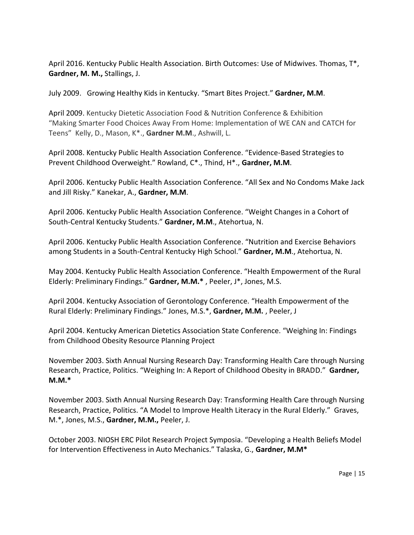April 2016. Kentucky Public Health Association. Birth Outcomes: Use of Midwives. Thomas, T\*, **Gardner, M. M.,** Stallings, J.

July 2009. Growing Healthy Kids in Kentucky. "Smart Bites Project." **Gardner, M.M**.

April 2009. Kentucky Dietetic Association Food & Nutrition Conference & Exhibition "Making Smarter Food Choices Away From Home: Implementation of WE CAN and CATCH for Teens" Kelly, D., Mason, K\*., **Gardner M.M**., Ashwill, L.

April 2008. Kentucky Public Health Association Conference. "Evidence-Based Strategies to Prevent Childhood Overweight." Rowland, C\*., Thind, H\*., **Gardner, M.M**.

April 2006. Kentucky Public Health Association Conference. "All Sex and No Condoms Make Jack and Jill Risky." Kanekar, A., **Gardner, M.M**.

April 2006. Kentucky Public Health Association Conference. "Weight Changes in a Cohort of South-Central Kentucky Students." **Gardner, M.M**., Atehortua, N.

April 2006. Kentucky Public Health Association Conference. "Nutrition and Exercise Behaviors among Students in a South-Central Kentucky High School." **Gardner, M.M**., Atehortua, N.

May 2004. Kentucky Public Health Association Conference. "Health Empowerment of the Rural Elderly: Preliminary Findings." **Gardner, M.M.\*** , Peeler, J\*, Jones, M.S.

April 2004. Kentucky Association of Gerontology Conference. "Health Empowerment of the Rural Elderly: Preliminary Findings." Jones, M.S.\*, **Gardner, M.M.** , Peeler, J

April 2004. Kentucky American Dietetics Association State Conference. "Weighing In: Findings from Childhood Obesity Resource Planning Project

November 2003. Sixth Annual Nursing Research Day: Transforming Health Care through Nursing Research, Practice, Politics. "Weighing In: A Report of Childhood Obesity in BRADD." **Gardner, M.M.\***

November 2003. Sixth Annual Nursing Research Day: Transforming Health Care through Nursing Research, Practice, Politics. "A Model to Improve Health Literacy in the Rural Elderly." Graves, M.\*, Jones, M.S., **Gardner, M.M.,** Peeler, J.

October 2003. NIOSH ERC Pilot Research Project Symposia. "Developing a Health Beliefs Model for Intervention Effectiveness in Auto Mechanics." Talaska, G., **Gardner, M.M\***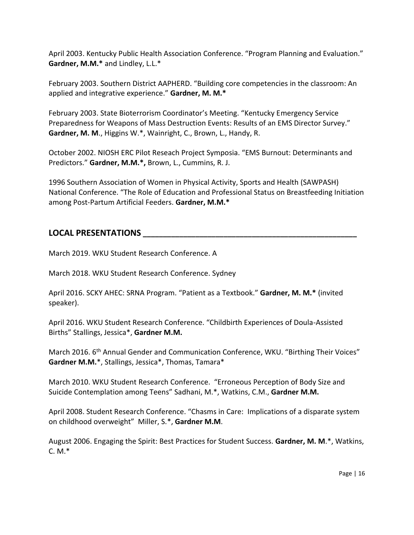April 2003. Kentucky Public Health Association Conference. "Program Planning and Evaluation." **Gardner, M.M.\*** and Lindley, L.L.\*

February 2003. Southern District AAPHERD. "Building core competencies in the classroom: An applied and integrative experience." **Gardner, M. M.\***

February 2003. State Bioterrorism Coordinator's Meeting. "Kentucky Emergency Service Preparedness for Weapons of Mass Destruction Events: Results of an EMS Director Survey." **Gardner, M. M**., Higgins W.\*, Wainright, C., Brown, L., Handy, R.

October 2002. NIOSH ERC Pilot Reseach Project Symposia. "EMS Burnout: Determinants and Predictors." **Gardner, M.M.\*,** Brown, L., Cummins, R. J.

1996 Southern Association of Women in Physical Activity, Sports and Health (SAWPASH) National Conference. "The Role of Education and Professional Status on Breastfeeding Initiation among Post-Partum Artificial Feeders. **Gardner, M.M.\***

## **LOCAL PRESENTATIONS \_\_\_\_\_\_\_\_\_\_\_\_\_\_\_\_\_\_\_\_\_\_\_\_\_\_\_\_\_\_\_\_\_\_\_\_\_\_\_\_\_\_\_\_\_\_\_\_\_\_\_\_\_**

March 2019. WKU Student Research Conference. A

March 2018. WKU Student Research Conference. Sydney

April 2016. SCKY AHEC: SRNA Program. "Patient as a Textbook." **Gardner, M. M.\*** (invited speaker).

April 2016. WKU Student Research Conference. "Childbirth Experiences of Doula-Assisted Births" Stallings, Jessica\*, **Gardner M.M.**

March 2016. 6<sup>th</sup> Annual Gender and Communication Conference, WKU. "Birthing Their Voices" **Gardner M.M.**\*, Stallings, Jessica\*, Thomas, Tamara\*

March 2010. WKU Student Research Conference. "Erroneous Perception of Body Size and Suicide Contemplation among Teens" Sadhani, M.\*, Watkins, C.M., **Gardner M.M.**

April 2008. Student Research Conference. "Chasms in Care: Implications of a disparate system on childhood overweight" Miller, S.\*, **Gardner M.M**.

August 2006. Engaging the Spirit: Best Practices for Student Success. **Gardner, M. M**.\*, Watkins,  $C. M.*$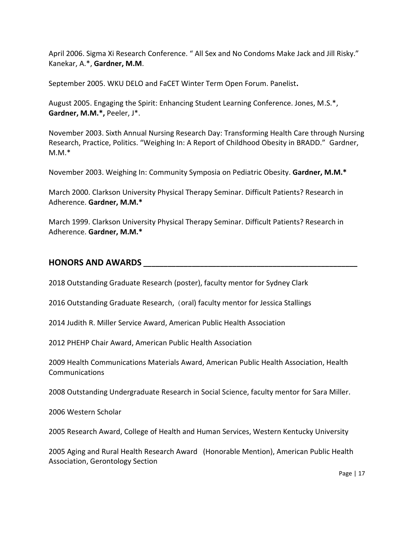April 2006. Sigma Xi Research Conference. " All Sex and No Condoms Make Jack and Jill Risky." Kanekar, A.\*, **Gardner, M.M**.

September 2005. WKU DELO and FaCET Winter Term Open Forum. Panelist**.** 

August 2005. Engaging the Spirit: Enhancing Student Learning Conference. Jones, M.S.\*, **Gardner, M.M.\*,** Peeler, J\*.

November 2003. Sixth Annual Nursing Research Day: Transforming Health Care through Nursing Research, Practice, Politics. "Weighing In: A Report of Childhood Obesity in BRADD." Gardner, M.M.\*

November 2003. Weighing In: Community Symposia on Pediatric Obesity. **Gardner, M.M.\***

March 2000. Clarkson University Physical Therapy Seminar. Difficult Patients? Research in Adherence. **Gardner, M.M.\***

March 1999. Clarkson University Physical Therapy Seminar. Difficult Patients? Research in Adherence. **Gardner, M.M.\***

#### **HONORS AND AWARDS \_\_\_\_\_\_\_\_\_\_\_\_\_\_\_\_\_\_\_\_\_\_\_\_\_\_\_\_\_\_\_\_\_\_\_\_\_\_\_\_\_\_\_\_\_\_\_\_\_\_\_\_\_**

2018 Outstanding Graduate Research (poster), faculty mentor for Sydney Clark

2016 Outstanding Graduate Research, (oral) faculty mentor for Jessica Stallings

2014 Judith R. Miller Service Award, American Public Health Association

2012 PHEHP Chair Award, American Public Health Association

2009 Health Communications Materials Award, American Public Health Association, Health Communications

2008 Outstanding Undergraduate Research in Social Science, faculty mentor for Sara Miller.

2006 Western Scholar

2005 Research Award, College of Health and Human Services, Western Kentucky University

2005 Aging and Rural Health Research Award (Honorable Mention), American Public Health Association, Gerontology Section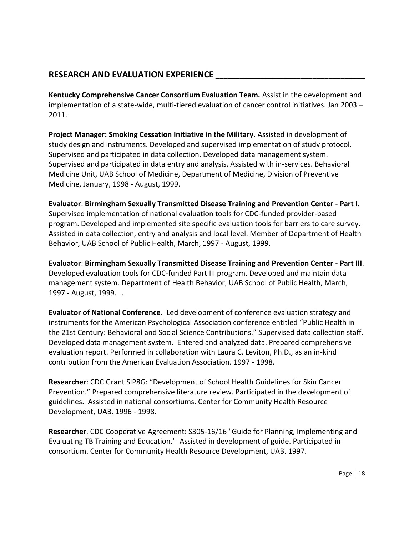# **RESEARCH AND EVALUATION EXPERIENCE \_\_\_\_\_\_\_\_\_\_\_\_\_\_\_\_\_\_\_\_\_\_\_\_\_\_\_\_\_\_\_\_\_\_\_\_\_**

**Kentucky Comprehensive Cancer Consortium Evaluation Team.** Assist in the development and implementation of a state-wide, multi-tiered evaluation of cancer control initiatives. Jan 2003 – 2011.

**Project Manager: Smoking Cessation Initiative in the Military.** Assisted in development of study design and instruments. Developed and supervised implementation of study protocol. Supervised and participated in data collection. Developed data management system. Supervised and participated in data entry and analysis. Assisted with in-services. Behavioral Medicine Unit, UAB School of Medicine, Department of Medicine, Division of Preventive Medicine, January, 1998 - August, 1999.

**Evaluator**: **Birmingham Sexually Transmitted Disease Training and Prevention Center - Part I.** Supervised implementation of national evaluation tools for CDC-funded provider-based program. Developed and implemented site specific evaluation tools for barriers to care survey. Assisted in data collection, entry and analysis and local level. Member of Department of Health Behavior, UAB School of Public Health, March, 1997 - August, 1999.

**Evaluator**: **Birmingham Sexually Transmitted Disease Training and Prevention Center - Part III**. Developed evaluation tools for CDC-funded Part III program. Developed and maintain data management system. Department of Health Behavior, UAB School of Public Health, March, 1997 - August, 1999. .

**Evaluator of National Conference***.* Led development of conference evaluation strategy and instruments for the American Psychological Association conference entitled "Public Health in the 21st Century: Behavioral and Social Science Contributions." Supervised data collection staff. Developed data management system. Entered and analyzed data. Prepared comprehensive evaluation report. Performed in collaboration with Laura C. Leviton, Ph.D., as an in-kind contribution from the American Evaluation Association. 1997 - 1998.

**Researcher**: CDC Grant SIP8G: "Development of School Health Guidelines for Skin Cancer Prevention." Prepared comprehensive literature review. Participated in the development of guidelines. Assisted in national consortiums. Center for Community Health Resource Development, UAB. 1996 - 1998.

**Researcher**. CDC Cooperative Agreement: S305-16/16 "Guide for Planning, Implementing and Evaluating TB Training and Education." Assisted in development of guide. Participated in consortium. Center for Community Health Resource Development, UAB. 1997.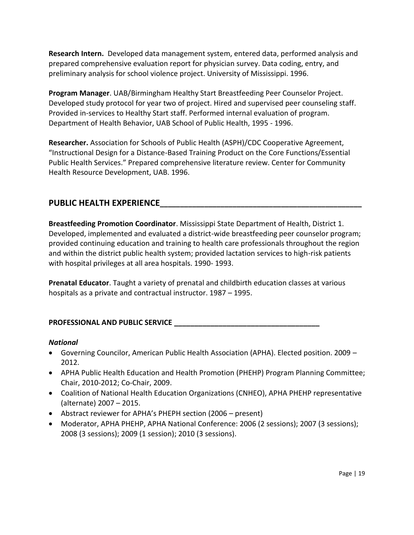**Research Intern.** Developed data management system, entered data, performed analysis and prepared comprehensive evaluation report for physician survey. Data coding, entry, and preliminary analysis for school violence project. University of Mississippi. 1996.

**Program Manager**. UAB/Birmingham Healthy Start Breastfeeding Peer Counselor Project. Developed study protocol for year two of project. Hired and supervised peer counseling staff. Provided in-services to Healthy Start staff. Performed internal evaluation of program. Department of Health Behavior, UAB School of Public Health, 1995 - 1996.

**Researcher.** Association for Schools of Public Health (ASPH)/CDC Cooperative Agreement, "Instructional Design for a Distance-Based Training Product on the Core Functions/Essential Public Health Services." Prepared comprehensive literature review. Center for Community Health Resource Development, UAB. 1996.

# **PUBLIC HEALTH EXPERIENCE\_\_\_\_\_\_\_\_\_\_\_\_\_\_\_\_\_\_\_\_\_\_\_\_\_\_\_\_\_\_\_\_\_\_\_\_\_\_\_\_\_\_\_\_\_\_\_\_\_\_**

**Breastfeeding Promotion Coordinator**. Mississippi State Department of Health, District 1. Developed, implemented and evaluated a district-wide breastfeeding peer counselor program; provided continuing education and training to health care professionals throughout the region and within the district public health system; provided lactation services to high-risk patients with hospital privileges at all area hospitals. 1990- 1993.

**Prenatal Educator**. Taught a variety of prenatal and childbirth education classes at various hospitals as a private and contractual instructor. 1987 – 1995.

## **PROFESSIONAL AND PUBLIC SERVICE \_\_\_\_\_\_\_\_\_\_\_\_\_\_\_\_\_\_\_\_\_\_\_\_\_\_\_\_\_\_\_\_\_\_\_\_**

## *National*

- Governing Councilor, American Public Health Association (APHA). Elected position. 2009 2012.
- APHA Public Health Education and Health Promotion (PHEHP) Program Planning Committee; Chair, 2010-2012; Co-Chair, 2009.
- Coalition of National Health Education Organizations (CNHEO), APHA PHEHP representative (alternate) 2007 – 2015.
- Abstract reviewer for APHA's PHEPH section (2006 present)
- Moderator, APHA PHEHP, APHA National Conference: 2006 (2 sessions); 2007 (3 sessions); 2008 (3 sessions); 2009 (1 session); 2010 (3 sessions).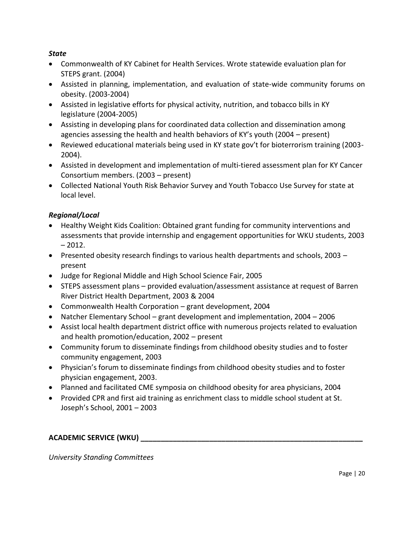#### *State*

- Commonwealth of KY Cabinet for Health Services. Wrote statewide evaluation plan for STEPS grant. (2004)
- Assisted in planning, implementation, and evaluation of state-wide community forums on obesity. (2003-2004)
- Assisted in legislative efforts for physical activity, nutrition, and tobacco bills in KY legislature (2004-2005)
- Assisting in developing plans for coordinated data collection and dissemination among agencies assessing the health and health behaviors of KY's youth (2004 – present)
- Reviewed educational materials being used in KY state gov't for bioterrorism training (2003- 2004).
- Assisted in development and implementation of multi-tiered assessment plan for KY Cancer Consortium members. (2003 – present)
- Collected National Youth Risk Behavior Survey and Youth Tobacco Use Survey for state at local level.

## *Regional/Local*

- Healthy Weight Kids Coalition: Obtained grant funding for community interventions and assessments that provide internship and engagement opportunities for WKU students, 2003  $-2012.$
- Presented obesity research findings to various health departments and schools, 2003 present
- Judge for Regional Middle and High School Science Fair, 2005
- STEPS assessment plans provided evaluation/assessment assistance at request of Barren River District Health Department, 2003 & 2004
- Commonwealth Health Corporation grant development, 2004
- Natcher Elementary School grant development and implementation, 2004 2006
- Assist local health department district office with numerous projects related to evaluation and health promotion/education, 2002 – present
- Community forum to disseminate findings from childhood obesity studies and to foster community engagement, 2003
- Physician's forum to disseminate findings from childhood obesity studies and to foster physician engagement, 2003.
- Planned and facilitated CME symposia on childhood obesity for area physicians, 2004
- Provided CPR and first aid training as enrichment class to middle school student at St. Joseph's School, 2001 – 2003

## **ACADEMIC SERVICE (WKU) \_\_\_\_\_\_\_\_\_\_\_\_\_\_\_\_\_\_\_\_\_\_\_\_\_\_\_\_\_\_\_\_\_\_\_\_\_\_\_\_\_\_\_\_\_\_\_\_\_\_\_\_\_\_\_**

*University Standing Committees*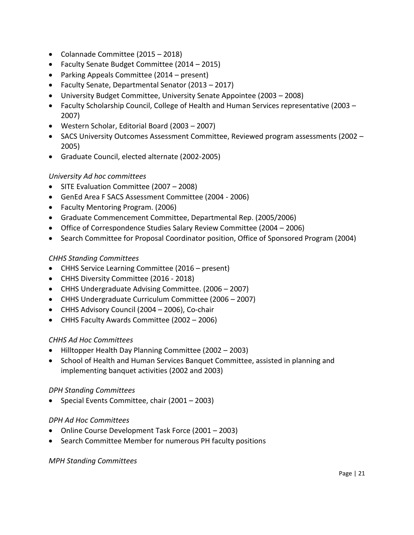- Colannade Committee (2015 2018)
- Faculty Senate Budget Committee (2014 2015)
- Parking Appeals Committee (2014 present)
- Faculty Senate, Departmental Senator (2013 2017)
- University Budget Committee, University Senate Appointee (2003 2008)
- Faculty Scholarship Council, College of Health and Human Services representative (2003 2007)
- Western Scholar, Editorial Board (2003 2007)
- SACS University Outcomes Assessment Committee, Reviewed program assessments (2002 2005)
- Graduate Council, elected alternate (2002-2005)

#### *University Ad hoc committees*

- SITE Evaluation Committee (2007 2008)
- GenEd Area F SACS Assessment Committee (2004 2006)
- Faculty Mentoring Program. (2006)
- Graduate Commencement Committee, Departmental Rep. (2005/2006)
- Office of Correspondence Studies Salary Review Committee (2004 2006)
- Search Committee for Proposal Coordinator position, Office of Sponsored Program (2004)

#### *CHHS Standing Committees*

- CHHS Service Learning Committee (2016 present)
- CHHS Diversity Committee (2016 2018)
- CHHS Undergraduate Advising Committee. (2006 2007)
- CHHS Undergraduate Curriculum Committee (2006 2007)
- CHHS Advisory Council (2004 2006), Co-chair
- CHHS Faculty Awards Committee (2002 2006)

## *CHHS Ad Hoc Committees*

- Hilltopper Health Day Planning Committee (2002 2003)
- School of Health and Human Services Banquet Committee, assisted in planning and implementing banquet activities (2002 and 2003)

#### *DPH Standing Committees*

Special Events Committee, chair (2001 – 2003)

#### *DPH Ad Hoc Committees*

- Online Course Development Task Force (2001 2003)
- Search Committee Member for numerous PH faculty positions

#### *MPH Standing Committees*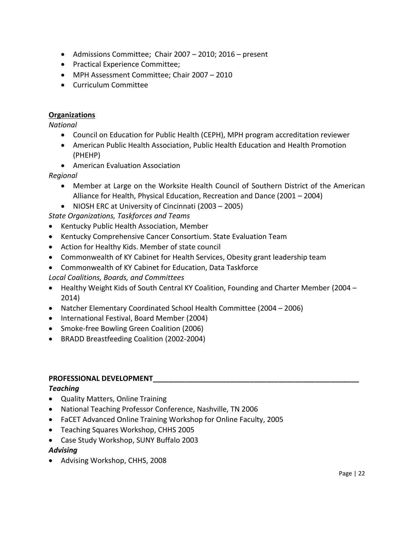- Admissions Committee; Chair 2007 2010; 2016 present
- Practical Experience Committee;
- MPH Assessment Committee; Chair 2007 2010
- Curriculum Committee

#### **Organizations**

#### *National*

- Council on Education for Public Health (CEPH), MPH program accreditation reviewer
- American Public Health Association, Public Health Education and Health Promotion (PHEHP)
- American Evaluation Association

## *Regional*

- Member at Large on the Worksite Health Council of Southern District of the American Alliance for Health, Physical Education, Recreation and Dance (2001 – 2004)
- NIOSH ERC at University of Cincinnati (2003 2005)

*State Organizations, Taskforces and Teams*

- Kentucky Public Health Association, Member
- Kentucky Comprehensive Cancer Consortium. State Evaluation Team
- Action for Healthy Kids. Member of state council
- Commonwealth of KY Cabinet for Health Services, Obesity grant leadership team
- Commonwealth of KY Cabinet for Education, Data Taskforce
- *Local Coalitions, Boards, and Committees*
- Healthy Weight Kids of South Central KY Coalition, Founding and Charter Member (2004 2014)
- Natcher Elementary Coordinated School Health Committee (2004 2006)
- International Festival, Board Member (2004)
- Smoke-free Bowling Green Coalition (2006)
- BRADD Breastfeeding Coalition (2002-2004)

## **PROFESSIONAL DEVELOPMENT\_\_\_\_\_\_\_\_\_\_\_\_\_\_\_\_\_\_\_\_\_\_\_\_\_\_\_\_\_\_\_\_\_\_\_\_\_\_\_\_\_\_\_\_\_\_\_\_\_\_\_**

## *Teaching*

- Quality Matters, Online Training
- National Teaching Professor Conference, Nashville, TN 2006
- FaCET Advanced Online Training Workshop for Online Faculty, 2005
- Teaching Squares Workshop, CHHS 2005
- Case Study Workshop, SUNY Buffalo 2003

## *Advising*

Advising Workshop, CHHS, 2008